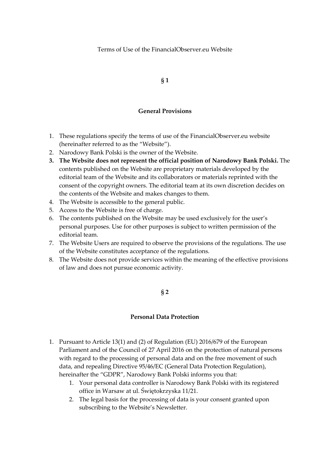Terms of Use of the FinancialObserver.eu Website

**§ 1**

### **General Provisions**

- 1. These regulations specify the terms of use of the FinancialObserver.eu website (hereinafter referred to as the "Website").
- 2. Narodowy Bank Polski is the owner of the Website.
- **3. The Website does not represent the official position of Narodowy Bank Polski.** The contents published on the Website are proprietary materials developed by the editorial team of the Website and its collaborators or materials reprinted with the consent of the copyright owners. The editorial team at its own discretion decides on the contents of the Website and makes changes to them.
- 4. The Website is accessible to the general public.
- 5. Access to the Website is free of charge.
- 6. The contents published on the Website may be used exclusively for the user's personal purposes. Use for other purposes is subject to written permission of the editorial team.
- 7. The Website Users are required to observe the provisions of the regulations. The use of the Website constitutes acceptance of the regulations.
- 8. The Website does not provide services within the meaning of the effective provisions of law and does not pursue economic activity.

**§ 2**

### **Personal Data Protection**

- 1. Pursuant to Article 13(1) and (2) of Regulation (EU) 2016/679 of the European Parliament and of the Council of 27 April 2016 on the protection of natural persons with regard to the processing of personal data and on the free movement of such data, and repealing Directive 95/46/EC (General Data Protection Regulation), hereinafter the "GDPR", Narodowy Bank Polski informs you that:
	- 1. Your personal data controller is Narodowy Bank Polski with its registered office in Warsaw at ul. Świętokrzyska 11/21.
	- 2. The legal basis for the processing of data is your consent granted upon subscribing to the Website's Newsletter.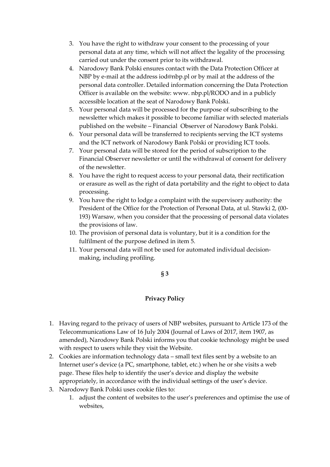- 3. You have the right to withdraw your consent to the processing of your personal data at any time, which will not affect the legality of the processing carried out under the consent prior to its withdrawal.
- 4. Narodowy Bank Polski ensures contact with the Data Protection Officer at NBP by e-mail at the address iod@nbp.pl or by mail at the address of the personal data controller. Detailed information concerning the Data Protection Officer is available on the website: www. nbp.pl/RODO and in a publicly accessible location at the seat of Narodowy Bank Polski.
- 5. Your personal data will be processed for the purpose of subscribing to the newsletter which makes it possible to become familiar with selected materials published on the website – Financial Observer of Narodowy Bank Polski.
- 6. Your personal data will be transferred to recipients serving the ICT systems and the ICT network of Narodowy Bank Polski or providing ICT tools.
- 7. Your personal data will be stored for the period of subscription to the Financial Observer newsletter or until the withdrawal of consent for delivery of the newsletter.
- 8. You have the right to request access to your personal data, their rectification or erasure as well as the right of data portability and the right to object to data processing.
- 9. You have the right to lodge a complaint with the supervisory authority: the President of the Office for the Protection of Personal Data, at ul. Stawki 2, (00- 193) Warsaw, when you consider that the processing of personal data violates the provisions of law.
- 10. The provision of personal data is voluntary, but it is a condition for the fulfilment of the purpose defined in item 5.
- 11. Your personal data will not be used for automated individual decisionmaking, including profiling.

# **§ 3**

# **Privacy Policy**

- 1. Having regard to the privacy of users of NBP websites, pursuant to Article 173 of the Telecommunications Law of 16 July 2004 (Journal of Laws of 2017, item 1907, as amended), Narodowy Bank Polski informs you that cookie technology might be used with respect to users while they visit the Website.
- 2. Cookies are information technology data small text files sent by a website to an Internet user's device (a PC, smartphone, tablet, etc.) when he or she visits a web page. These files help to identify the user's device and display the website appropriately, in accordance with the individual settings of the user's device.
- 3. Narodowy Bank Polski uses cookie files to:
	- 1. adjust the content of websites to the user's preferences and optimise the use of websites,